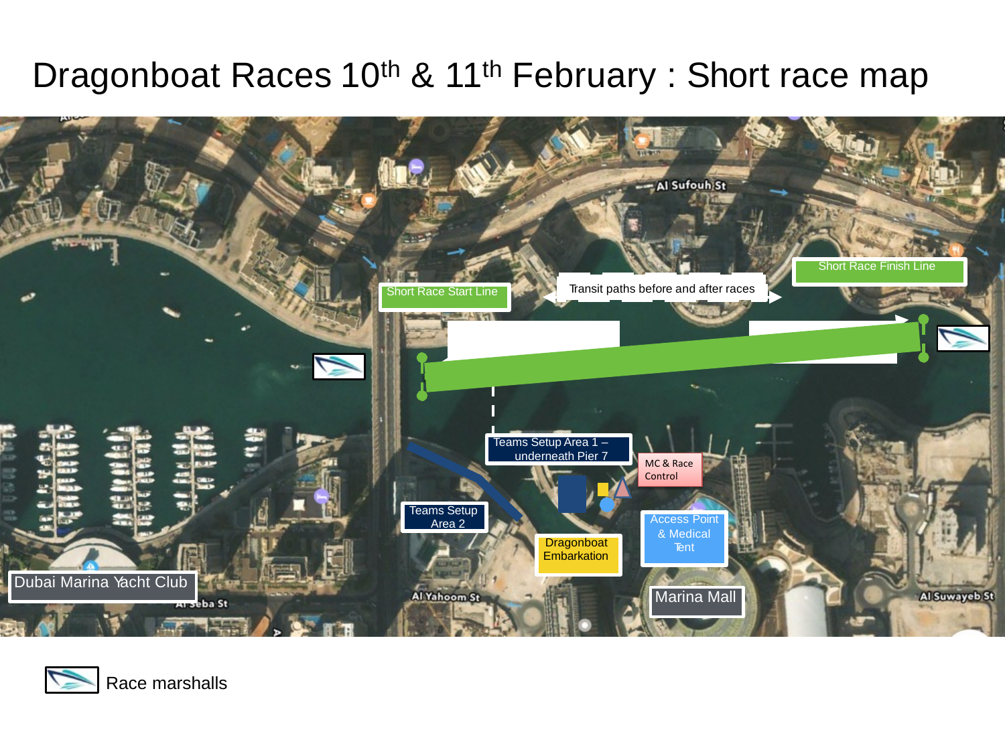## Dragonboat Races 10<sup>th</sup> & 11<sup>th</sup> February : Short race map



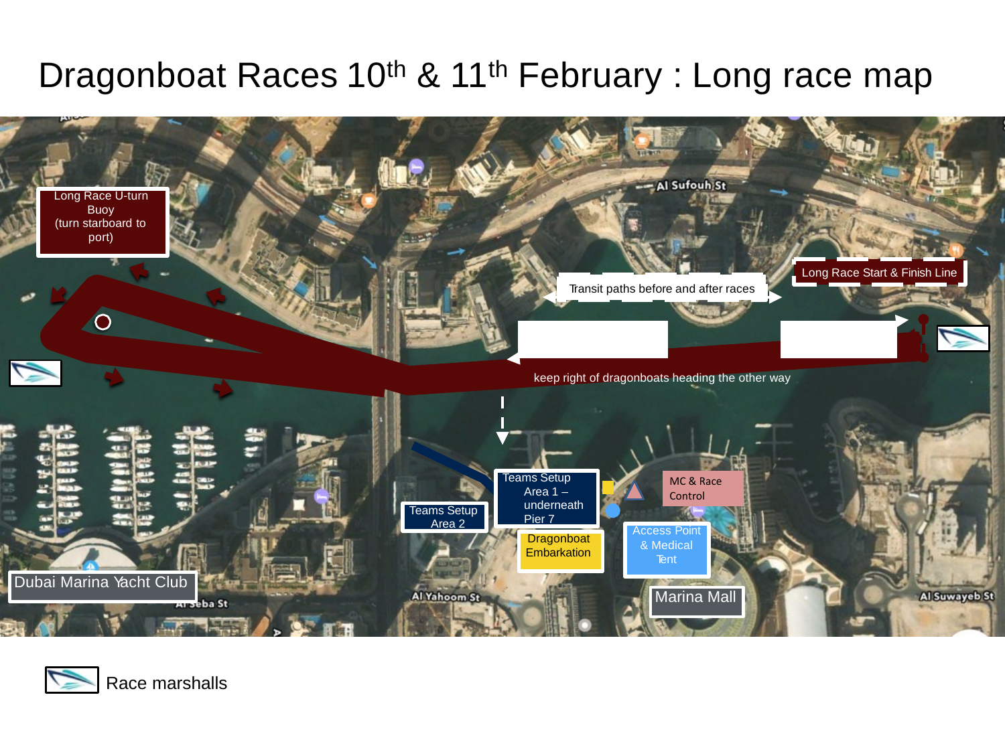## Dragonboat Races 10<sup>th</sup> & 11<sup>th</sup> February : Long race map